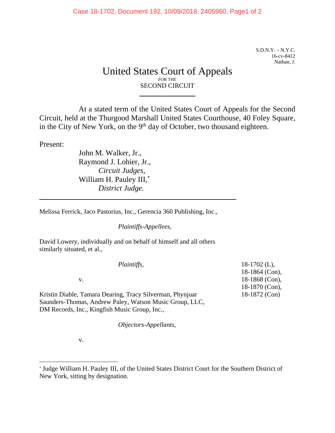S.D.N.Y. – N.Y.C. 16-cv-8412 Nathan, J.

## United States Court of Appeals FOR THE SECOND CIRCUIT

 $\frac{1}{2}$  , where  $\frac{1}{2}$  , where  $\frac{1}{2}$ 

At a stated term of the United States Court of Appeals for the Second Circuit, held at the Thurgood Marshall United States Courthouse, 40 Foley Square, in the City of New York, on the 9<sup>th</sup> day of October, two thousand eighteen.

Present:

 $\overline{a}$ 

 $\overline{a}$ 

John M. Walker, Jr., Raymond J. Lohier, Jr., *Circuit Judges,* William H. Pauley III,\* *District Judge.*

Melissa Ferrick, Jaco Pastorius, Inc., Gerencia 360 Publishing, Inc.,

*Plaintiffs-Appellees*,

David Lowery, individually and on behalf of himself and all others similarly situated, et al.,

| Plaintiffs,                                               | $18-1702$ (L),   |
|-----------------------------------------------------------|------------------|
|                                                           | $18-1864$ (Con), |
| V.                                                        | 18-1868 (Con),   |
|                                                           | 18-1870 (Con),   |
| Kristin Diable, Tamara Dearing, Tracy Silverman, Phynjuar | 18-1872 (Con)    |
| Saunders-Thomas, Andrew Paley, Watson Music Group, LLC,   |                  |
| DM Records, Inc., Kingfish Music Group, Inc.,             |                  |

*Objectors-Appellants*,

v.

<sup>\*</sup> Judge William H. Pauley III, of the United States District Court for the Southern District of New York, sitting by designation.